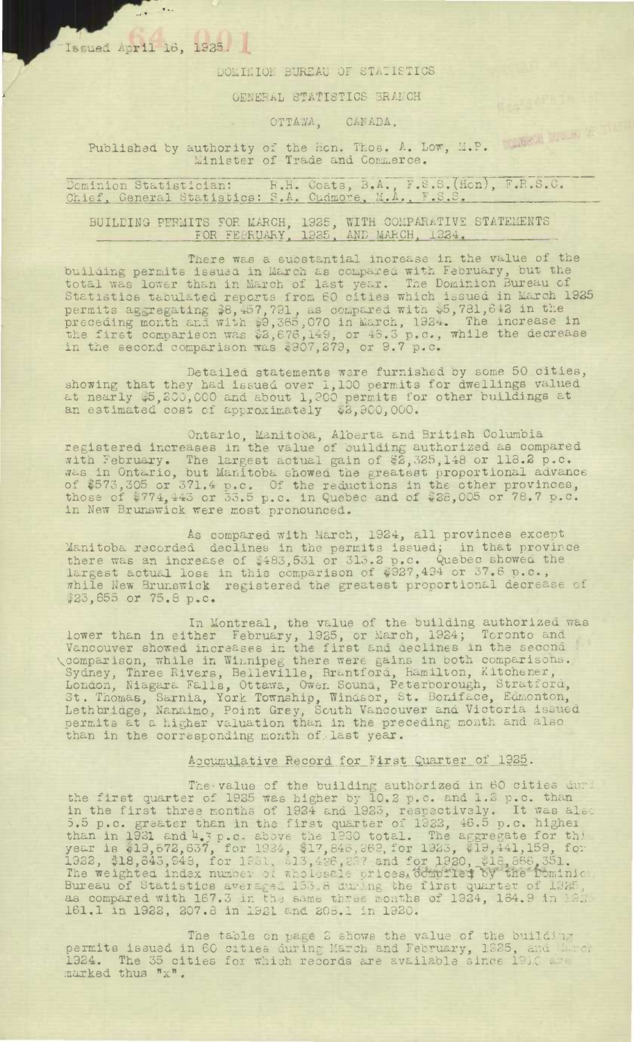Issued April 16, 1925.

 $\bullet$ 

## DOMINION BUREAU OF STATISTICS

GENERAL STATISTICS BRANCH

OTTAWA, CANADA.

Published by authority of the Hon. Thos. A. Low, M.P. Manuscript Minister of Trade and Commerce.

Dominion Statistician: F.H. Coats, B.A., F.S.S. (Hon), F.R.S.C.<br>Chief, General Statistics: S.A. Cudmore, M.A., F.S.S.

BUILDING PERMITS FOR MARCH, 1925, WITH COMPARATIVE STATEMENTS FOR FEPRUARY, 1925, AND MARCH, 1924.

There was a substantial increase in the value of the<br>building permits issued in March as compared with February, but the<br>total was lower than in March of last year. The Dominion Bureau of<br>Statistics tabulated reports from

Detailed statements were furnished by some 50 cities, showing that they had issued over 1,100 permits for dwellings valued<br>at nearly  $$5,200,000$  and about 1,200 permits for other buildings at<br>an estimated cost of approximately  $$2,900,000$ .

Ontario, Manitoba, Alberta and British Columbia<br>registered increases in the value of building authorized as compared<br>with February. The largest actual gain of \$2,325,148 or 118.2 p.c.<br>was in Ontario, but Manitoba showed th in New Brunswick were most pronounced.

As compared with March, 1924, all provinces except<br>Manitoba recorded declines in the permits issued; in that province<br>there was an increase of \$483,531 or 315.2 p.c. Quebec showed the<br>largest actual loss in this comparison while New Brunswick registered the greatest proportional decrease of \$23,655 or 75.8 p.c.

In Montreal, the value of the building authorized was<br>lower than in either February, 1925, or March, 1924; Toronto and<br>Vancouver showed increases in the first and declines in the second<br>\comparison, while in Winnipeg there

## Accumulative Record for First Quarter of 1925.

The value of the building authorized in 60 cities duri-<br>the first quarter of 1925 was higher by 10.2 p.c. and 1.2 p.c. than<br>in the first three months of 1924 and 1923, respectively. It was also<br>5.5 p.c. greater than in the

The table on page 2 shows the value of the building<br>permits issued in 60 cities during March and February, 1925, and March<br>1924. The 35 cities for which records are available since 1910 and marked thus "x".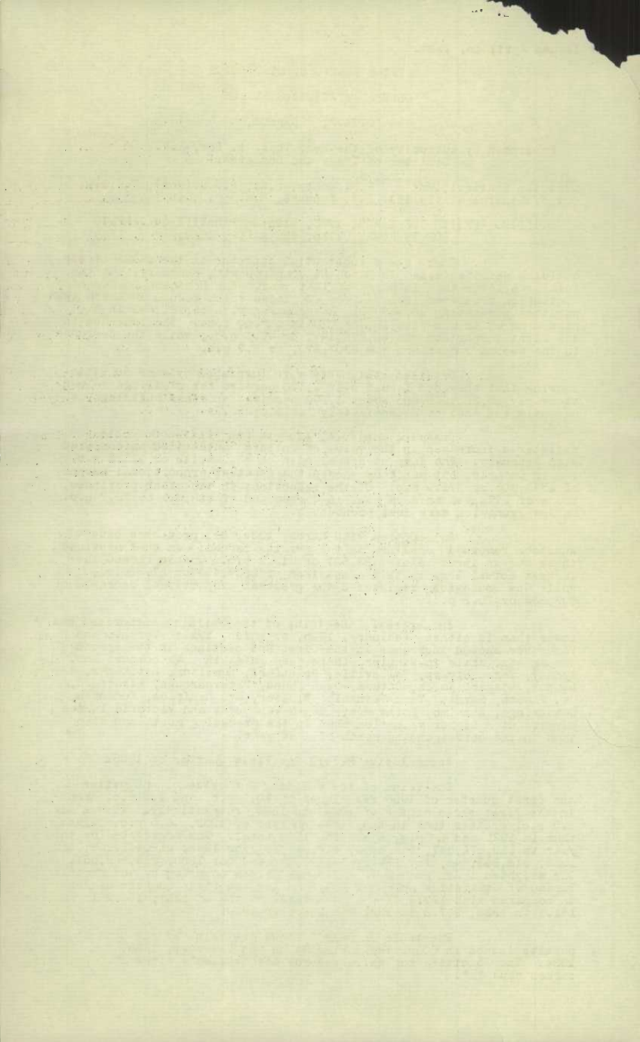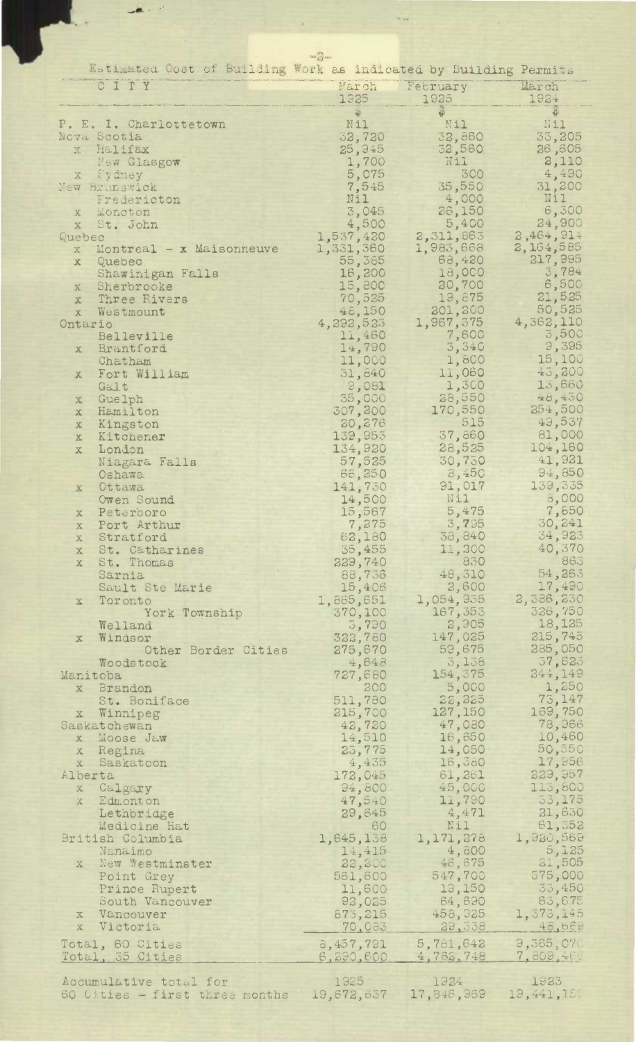|                                                                               | $\mathbb{R}$ . The $\mathbb{R}$            |                                            |                                                |  |
|-------------------------------------------------------------------------------|--------------------------------------------|--------------------------------------------|------------------------------------------------|--|
|                                                                               | $-3-$                                      |                                            |                                                |  |
| Estimated Cost of Fuilding Work as indicated by Building Permits              |                                            |                                            |                                                |  |
| CITY                                                                          | March<br>1925                              | February<br>1925                           | March<br>1924                                  |  |
| P. E. I. Charlottetown<br>Nova Scotia<br>x Halifax<br>New Glasgow<br>x Fydney | Ni1<br>32,720<br>25, 945<br>1,700<br>5,075 | ⊕<br>Nil<br>32,860<br>32,560<br>Nil<br>300 | ₩<br>Nil<br>33,205<br>26,605<br>3,110<br>4,490 |  |
| New Brunswick                                                                 | 7,545                                      | 35,550                                     | 31,200                                         |  |

|              | NEW BRUDSWICK              | 7,545       | 35,550                     | 51,600                  |
|--------------|----------------------------|-------------|----------------------------|-------------------------|
|              | Fredericton                | Ni1         | 4,000                      | Ni1                     |
| $\mathbf{x}$ | Moncton                    | 3,045       | 26,150                     | 6,300                   |
|              | x St. John                 | 4,500       | 5,400                      | 24,900                  |
| Quebec       |                            | 1,537,420   | 2,311,863                  | 2,464,914               |
|              | x Montreal - x Maisonneuve |             | 1,983,668                  |                         |
|              |                            | 1,331,360   |                            | 2, 164, 585<br>217, 995 |
| $\mathbf{x}$ | Quebec                     | 55,385      | 68,420                     |                         |
|              | Shawinigan Falls           | 16,200      | 18,000<br>20,700<br>19,875 | 3,784                   |
| $\mathbf{x}$ | Sherbrooke                 | 15,800      |                            | 6,500                   |
| $\mathbf{x}$ | Three Rivers               | 70,525      |                            | 21,525                  |
| X            | Westmount                  | 48,150      | 201,200                    | 50,525                  |
|              |                            |             | 1,967,375                  | 4,362,110               |
|              | Ontario                    | 4, 292, 523 |                            | 3,500                   |
|              | Belleville                 | 11,460      | 7,600                      |                         |
| $\mathbf{x}$ | Brantford                  | 14,790      | 3,340                      | 9,395                   |
|              | Chatham                    | 11,000      | 1,800                      | 15,100                  |
| $\mathbf{X}$ | Fort William               | 51,840      | 11,060                     | 45,200                  |
|              | Galt                       | 3,081       | 1,300                      | 15,660                  |
|              |                            | 35,000      | 28,550                     | 48,450                  |
| x            | Guelph                     |             |                            |                         |
| $\mathbf{x}$ | Hamilton                   | 307,200     | 170,550                    | 254,500                 |
| $\mathbf{x}$ | Kingston                   | 20,276      | 515                        | 49,537                  |
| $\mathbf{x}$ | Kitchener                  | 139,953     | 37,860                     | 81,000                  |
| $\mathbf{x}$ | London                     | 134,920     | 28,525                     | 104,160                 |
|              | Niagara Falls              | 57,525      | 30,750                     | 41,921                  |
|              |                            | 66,250      | 8,450                      | 94,850                  |
|              | Oshawa                     |             |                            |                         |
| X.           | Ottawa                     | 141,730     | 91,017                     | 139,335                 |
|              | Owen Sound                 | 14,500      | Nil                        | 3,000                   |
| $\mathbf{x}$ | Peterboro                  | 15,567      | 5,475                      | 7,850                   |
| X.           | Port Arthur                | 7,275       | 3,795                      | 30, 241                 |
| X            | Stratford                  | 62,180      | 38,840                     | 34,923                  |
|              |                            | 35,455      | 11,300                     | 40,370                  |
| $\mathbb X$  | St. Catharines             |             |                            | 863                     |
| $\mathbf{x}$ | St. Thomas                 | 229,740     | 830                        |                         |
|              | Sarnia                     | 88,736      | 48,310                     | 54,263                  |
|              | Sault Ste Marie            | 15,406      | 2,600                      | 17,490                  |
| $\mathbf{x}$ | Toronto                    | 1,865,651   | 1,054,935                  | 2,386,230               |
|              | York Township              | 370,100     | 167,353                    | 326,750                 |
|              | Welland                    | 3,730       | 2,305                      | 18,125                  |
|              | Windsor                    | 322,780     | 147,025                    | 215,745                 |
| $\mathbf{x}$ |                            |             |                            |                         |
|              | Other Border Cities        | 275,670     | 59,675                     | 285,050                 |
|              | Woodstock                  | 4,648       | 3,138                      | 57,623                  |
|              | Manitoba                   | 727,680     | 154,375                    | $24\pm,149$             |
|              | x Brandon                  | 200         | 5,000                      | 1,250                   |
|              | St. Boniface               | 511,780     | 22,225                     | 73,147                  |
|              | x Winnipeg                 | 215,700     | 127,150                    | 169,750                 |
|              |                            | 42,720      | 47,080                     | 78,966                  |
|              | Saskatchewan               |             |                            |                         |
| $\mathbf{x}$ | Moose Jaw                  | 14,510      | 16,650                     | 10,460                  |
| X            | Regina                     | 25,775      | 14,050                     | 50,550                  |
| X            | Saskatoon                  | 4,435       | 16,380                     | 17,956                  |
|              | Alberta                    | 172,045     | 61,261                     | 229,957                 |
|              | x Calgary                  | 94,800      | 45,000                     | 113,800                 |
| X            | Edmonton                   | 47,540      | 11,790                     | 53,175                  |
|              |                            |             |                            |                         |
|              | Lethbridge                 | 29,645      | 4,471                      | 21,630                  |
|              | Medicine Hat               | 60          | Nil                        | 61,53                   |
|              | British Columbia           | 1,645,138   | 1,171,278                  | 1,920,569               |
|              | Nanaimo                    | 14,415      | 4,800                      | 5,125                   |
| X            | New Westminster            | 22,300      | 46,675                     | 21,505                  |
|              | Point Grey                 | 561,600     | 547,700                    | 575,000                 |
|              | Prince Rupert              |             | 19,150                     | 33,450                  |
|              |                            | 11,600      |                            |                         |
|              | South Vancouver            | 92,025      | 64,690                     | 63,675                  |
| X            | Vancouver                  | 873,215     | 458,925                    | 1,373,145               |
| X            | Victoria                   | 70,083      | 29,558                     | 46,663                  |
|              |                            |             |                            | 9,365,070               |
|              | Total, 60 Cities           | 8,457,791   | 5,781,642                  |                         |
|              | Total, 35 Cities           | 6,290,600   | 4,762,748                  | 7,809,465               |
|              |                            |             |                            |                         |

Accumulative total for 1925 1924 1923 60 Cities - first three months 19,672,637 17,846,969 19,441,151

|  |       | 19 |  |
|--|-------|----|--|
|  | 19,44 |    |  |